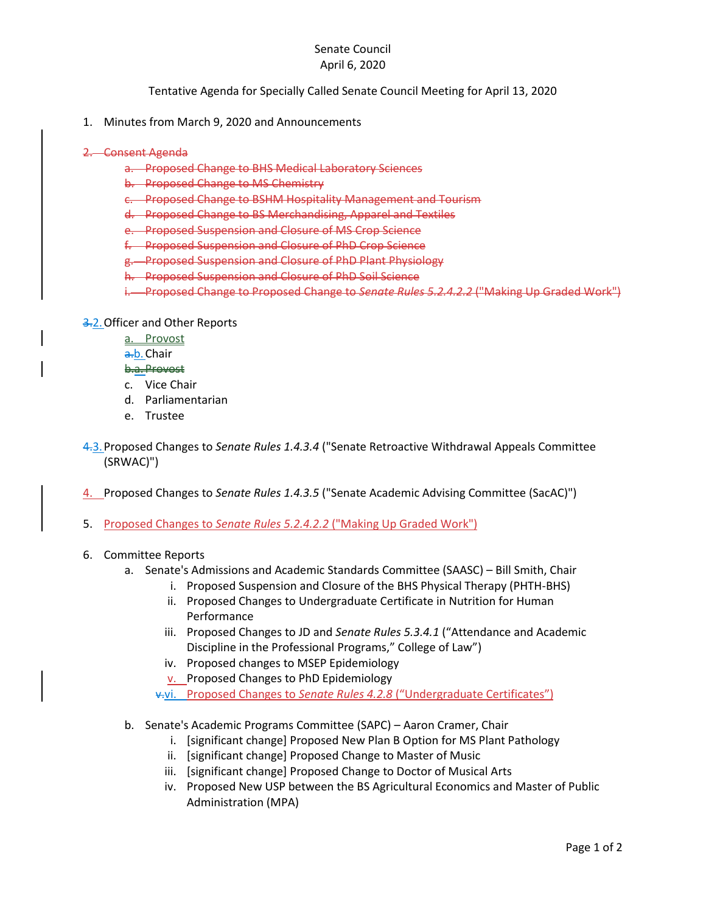## Senate Council April 6, 2020

Tentative Agenda for Specially Called Senate Council Meeting for April 13, 2020

- 1. Minutes from March 9, 2020 and Announcements
- 2. Consent Agenda
	- a. Proposed Change to BHS Medical Laboratory Sciences
	- b. Proposed Change to MS Chemistry
	- c. Proposed Change to BSHM Hospitality Management and Tourism
	- d. Proposed Change to BS Merchandising, Apparel and Textiles
	- e. Proposed Suspension and Closure of MS Crop Science
	- f. Proposed Suspension and Closure of PhD Crop Science
	- g. Proposed Suspension and Closure of PhD Plant Physiology
	- h. Proposed Suspension and Closure of PhD Soil Science
	- i. Proposed Change to Proposed Change to *Senate Rules 5.2.4.2.2* ("Making Up Graded Work")

## 3.2.Officer and Other Reports

- a. Provost
- a.b. Chair

## b.a.Provost

- c. Vice Chair
- d. Parliamentarian
- e. Trustee
- 4.3.Proposed Changes to *Senate Rules 1.4.3.4* ("Senate Retroactive Withdrawal Appeals Committee (SRWAC)")
- 4. Proposed Changes to *Senate Rules 1.4.3.5* ("Senate Academic Advising Committee (SacAC)")
- 5. Proposed Changes to *Senate Rules 5.2.4.2.2* ("Making Up Graded Work")
- 6. Committee Reports
	- a. Senate's Admissions and Academic Standards Committee (SAASC) Bill Smith, Chair
		- i. Proposed Suspension and Closure of the BHS Physical Therapy (PHTH-BHS)
		- ii. Proposed Changes to Undergraduate Certificate in Nutrition for Human Performance
		- iii. Proposed Changes to JD and *Senate Rules 5.3.4.1* ("Attendance and Academic Discipline in the Professional Programs," College of Law")
		- iv. Proposed changes to MSEP Epidemiology
		- v. Proposed Changes to PhD Epidemiology
		- v.vi. Proposed Changes to *Senate Rules 4.2.8* ("Undergraduate Certificates")
	- b. Senate's Academic Programs Committee (SAPC) Aaron Cramer, Chair
		- i. [significant change] Proposed New Plan B Option for MS Plant Pathology
		- ii. [significant change] Proposed Change to Master of Music
		- iii. [significant change] Proposed Change to Doctor of Musical Arts
		- iv. Proposed New USP between the BS Agricultural Economics and Master of Public Administration (MPA)